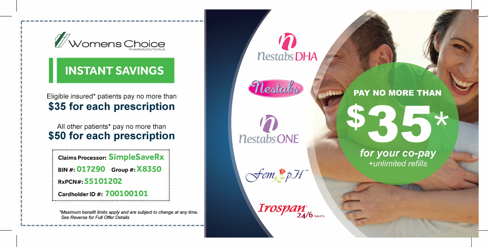

r---------------------------------------

## **INSTANT SAVINGS**

In the contract of the contract of the contract of the contract of the contract of the contract of the contract of the contract of the contract of the contract of the contract of the contract of the contract of the contrac

## Eligible insured\* patients pay no more than **\$35 for each prescription**

All other patients\* pay no more than **\$50 for each prescription** 

**Claims Processor: SimpleSaveRx BIN #: 017290 Group#: X8350 RxPCN#:55101202 C ardholderlD#: 700100101** 

*\*Maximum benefit limits apply and are subject to change at any time. See Reverse for Full Offer Details* 

 $\mathbf{D}$ *nestabsDHA* 

Nestales



**PAY NO MORE THAN** 

for your co-pay +unlimited refills

 $\star$ 

 $\sqrt{\epsilon}$ om $\ell^*$ pH"